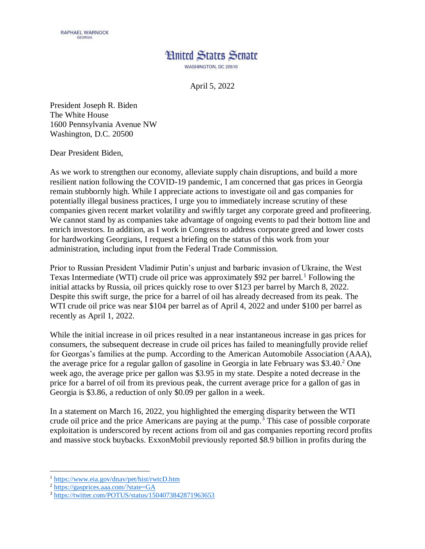## **Hnited States Senate** WASHINGTON, DC 20510

April 5, 2022

President Joseph R. Biden The White House 1600 Pennsylvania Avenue NW Washington, D.C. 20500

Dear President Biden,

As we work to strengthen our economy, alleviate supply chain disruptions, and build a more resilient nation following the COVID-19 pandemic, I am concerned that gas prices in Georgia remain stubbornly high. While I appreciate actions to investigate oil and gas companies for potentially illegal business practices, I urge you to immediately increase scrutiny of these companies given recent market volatility and swiftly target any corporate greed and profiteering. We cannot stand by as companies take advantage of ongoing events to pad their bottom line and enrich investors. In addition, as I work in Congress to address corporate greed and lower costs for hardworking Georgians, I request a briefing on the status of this work from your administration, including input from the Federal Trade Commission.

Prior to Russian President Vladimir Putin's unjust and barbaric invasion of Ukraine, the West Texas Intermediate (WTI) crude oil price was approximately \$92 per barrel.<sup>1</sup> Following the initial attacks by Russia, oil prices quickly rose to over \$123 per barrel by March 8, 2022. Despite this swift surge, the price for a barrel of oil has already decreased from its peak. The WTI crude oil price was near \$104 per barrel as of April 4, 2022 and under \$100 per barrel as recently as April 1, 2022.

While the initial increase in oil prices resulted in a near instantaneous increase in gas prices for consumers, the subsequent decrease in crude oil prices has failed to meaningfully provide relief for Georgas's families at the pump. According to the American Automobile Association (AAA), the average price for a regular gallon of gasoline in Georgia in late February was  $$3.40<sup>2</sup>$  One week ago, the average price per gallon was \$3.95 in my state. Despite a noted decrease in the price for a barrel of oil from its previous peak, the current average price for a gallon of gas in Georgia is \$3.86, a reduction of only \$0.09 per gallon in a week.

In a statement on March 16, 2022, you highlighted the emerging disparity between the WTI crude oil price and the price Americans are paying at the pump.<sup>3</sup> This case of possible corporate exploitation is underscored by recent actions from oil and gas companies reporting record profits and massive stock buybacks. ExxonMobil previously reported \$8.9 billion in profits during the

 $\overline{a}$ 

<sup>1</sup> <https://www.eia.gov/dnav/pet/hist/rwtcD.htm>

<sup>2</sup> <https://gasprices.aaa.com/?state=GA>

<sup>3</sup> <https://twitter.com/POTUS/status/1504073842871963653>